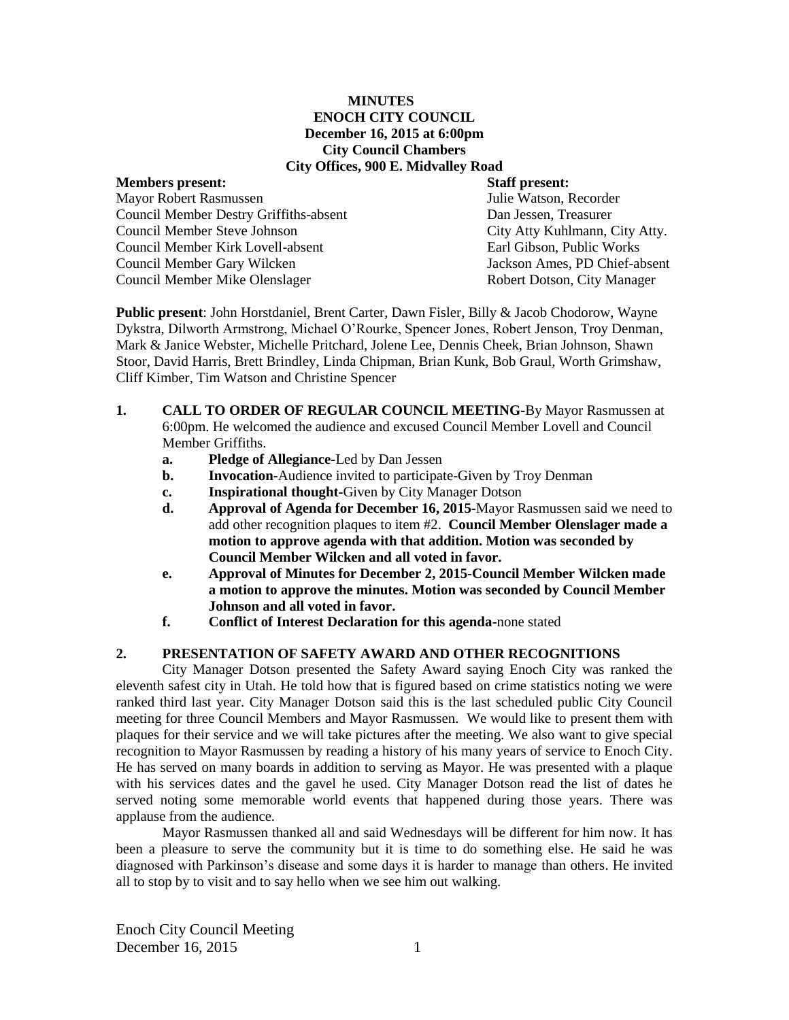#### **MINUTES ENOCH CITY COUNCIL December 16, 2015 at 6:00pm City Council Chambers City Offices, 900 E. Midvalley Road**

## **Members present: Staff present:** Mayor Robert Rasmussen Julie Watson, Recorder Council Member Destry Griffiths-absent Dan Jessen, Treasurer Council Member Steve Johnson City Atty Kuhlmann, City Atty. Council Member Kirk Lovell-absent Earl Gibson, Public Works Council Member Gary Wilcken Jackson Ames, PD Chief-absent Council Member Mike Olenslager **Robert Dotson, City Manager** Robert Dotson, City Manager

**Public present**: John Horstdaniel, Brent Carter, Dawn Fisler, Billy & Jacob Chodorow, Wayne Dykstra, Dilworth Armstrong, Michael O'Rourke, Spencer Jones, Robert Jenson, Troy Denman, Mark & Janice Webster, Michelle Pritchard, Jolene Lee, Dennis Cheek, Brian Johnson, Shawn Stoor, David Harris, Brett Brindley, Linda Chipman, Brian Kunk, Bob Graul, Worth Grimshaw, Cliff Kimber, Tim Watson and Christine Spencer

- **1. CALL TO ORDER OF REGULAR COUNCIL MEETING-**By Mayor Rasmussen at 6:00pm. He welcomed the audience and excused Council Member Lovell and Council Member Griffiths.
	- **a. Pledge of Allegiance-**Led by Dan Jessen
	- **b. Invocation-**Audience invited to participate-Given by Troy Denman
	- **c. Inspirational thought-**Given by City Manager Dotson
	- **d. Approval of Agenda for December 16, 2015-**Mayor Rasmussen said we need to add other recognition plaques to item #2. **Council Member Olenslager made a motion to approve agenda with that addition. Motion was seconded by Council Member Wilcken and all voted in favor.**
	- **e. Approval of Minutes for December 2, 2015-Council Member Wilcken made a motion to approve the minutes. Motion was seconded by Council Member Johnson and all voted in favor.**
	- **f. Conflict of Interest Declaration for this agenda-**none stated

# **2. PRESENTATION OF SAFETY AWARD AND OTHER RECOGNITIONS**

City Manager Dotson presented the Safety Award saying Enoch City was ranked the eleventh safest city in Utah. He told how that is figured based on crime statistics noting we were ranked third last year. City Manager Dotson said this is the last scheduled public City Council meeting for three Council Members and Mayor Rasmussen. We would like to present them with plaques for their service and we will take pictures after the meeting. We also want to give special recognition to Mayor Rasmussen by reading a history of his many years of service to Enoch City. He has served on many boards in addition to serving as Mayor. He was presented with a plaque with his services dates and the gavel he used. City Manager Dotson read the list of dates he served noting some memorable world events that happened during those years. There was applause from the audience.

Mayor Rasmussen thanked all and said Wednesdays will be different for him now. It has been a pleasure to serve the community but it is time to do something else. He said he was diagnosed with Parkinson's disease and some days it is harder to manage than others. He invited all to stop by to visit and to say hello when we see him out walking.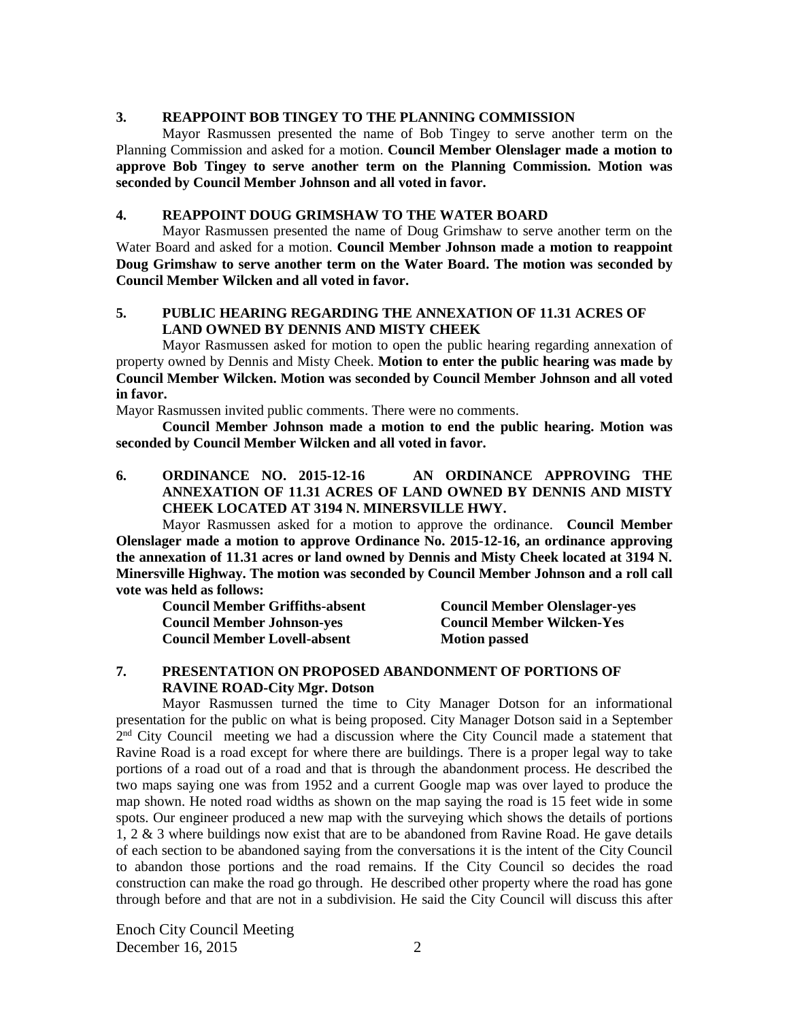## **3. REAPPOINT BOB TINGEY TO THE PLANNING COMMISSION**

Mayor Rasmussen presented the name of Bob Tingey to serve another term on the Planning Commission and asked for a motion. **Council Member Olenslager made a motion to approve Bob Tingey to serve another term on the Planning Commission. Motion was seconded by Council Member Johnson and all voted in favor.**

## **4. REAPPOINT DOUG GRIMSHAW TO THE WATER BOARD**

Mayor Rasmussen presented the name of Doug Grimshaw to serve another term on the Water Board and asked for a motion. **Council Member Johnson made a motion to reappoint Doug Grimshaw to serve another term on the Water Board. The motion was seconded by Council Member Wilcken and all voted in favor.**

# **5. PUBLIC HEARING REGARDING THE ANNEXATION OF 11.31 ACRES OF LAND OWNED BY DENNIS AND MISTY CHEEK**

Mayor Rasmussen asked for motion to open the public hearing regarding annexation of property owned by Dennis and Misty Cheek. **Motion to enter the public hearing was made by Council Member Wilcken. Motion was seconded by Council Member Johnson and all voted in favor.**

Mayor Rasmussen invited public comments. There were no comments.

**Council Member Johnson made a motion to end the public hearing. Motion was seconded by Council Member Wilcken and all voted in favor.**

**6. ORDINANCE NO. 2015-12-16 AN ORDINANCE APPROVING THE ANNEXATION OF 11.31 ACRES OF LAND OWNED BY DENNIS AND MISTY CHEEK LOCATED AT 3194 N. MINERSVILLE HWY.**

Mayor Rasmussen asked for a motion to approve the ordinance. **Council Member Olenslager made a motion to approve Ordinance No. 2015-12-16, an ordinance approving the annexation of 11.31 acres or land owned by Dennis and Misty Cheek located at 3194 N. Minersville Highway. The motion was seconded by Council Member Johnson and a roll call vote was held as follows:** 

| <b>Council Member Griffiths-absent</b> | <b>Council Member Olenslager-yes</b> |
|----------------------------------------|--------------------------------------|
| <b>Council Member Johnson-yes</b>      | <b>Council Member Wilcken-Yes</b>    |
| <b>Council Member Lovell-absent</b>    | <b>Motion passed</b>                 |

#### **7. PRESENTATION ON PROPOSED ABANDONMENT OF PORTIONS OF RAVINE ROAD-City Mgr. Dotson**

Mayor Rasmussen turned the time to City Manager Dotson for an informational presentation for the public on what is being proposed. City Manager Dotson said in a September 2<sup>nd</sup> City Council meeting we had a discussion where the City Council made a statement that Ravine Road is a road except for where there are buildings. There is a proper legal way to take portions of a road out of a road and that is through the abandonment process. He described the two maps saying one was from 1952 and a current Google map was over layed to produce the map shown. He noted road widths as shown on the map saying the road is 15 feet wide in some spots. Our engineer produced a new map with the surveying which shows the details of portions 1, 2 & 3 where buildings now exist that are to be abandoned from Ravine Road. He gave details of each section to be abandoned saying from the conversations it is the intent of the City Council to abandon those portions and the road remains. If the City Council so decides the road construction can make the road go through. He described other property where the road has gone through before and that are not in a subdivision. He said the City Council will discuss this after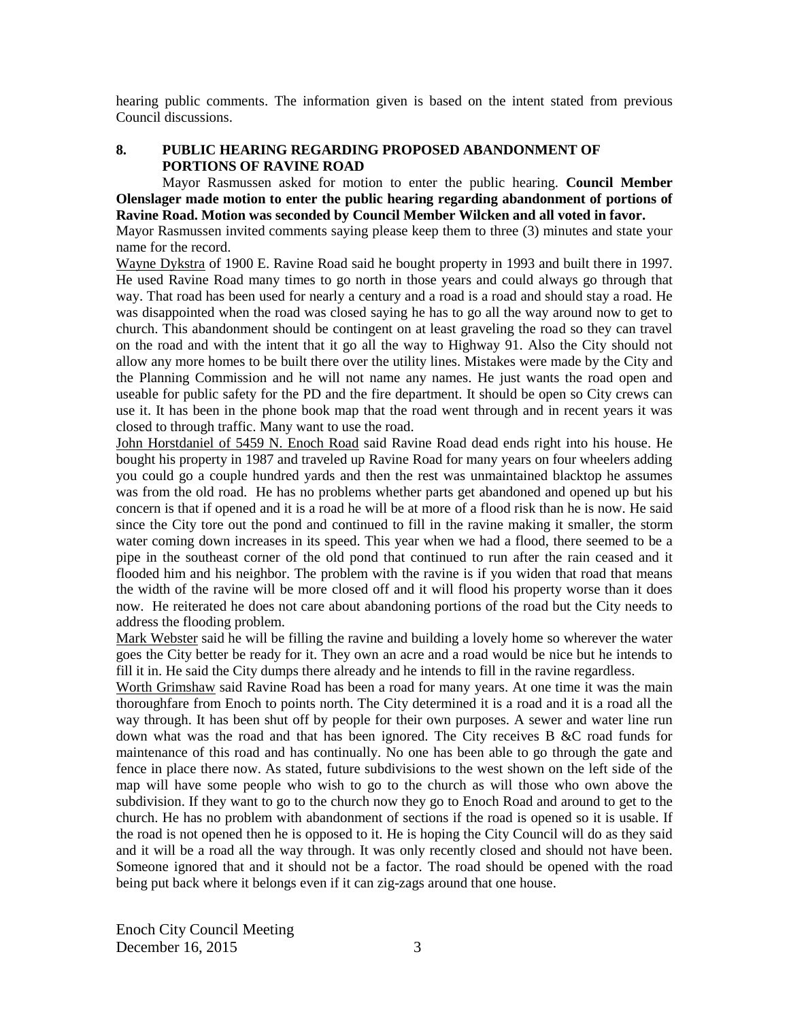hearing public comments. The information given is based on the intent stated from previous Council discussions.

## **8. PUBLIC HEARING REGARDING PROPOSED ABANDONMENT OF PORTIONS OF RAVINE ROAD**

Mayor Rasmussen asked for motion to enter the public hearing. **Council Member Olenslager made motion to enter the public hearing regarding abandonment of portions of Ravine Road. Motion was seconded by Council Member Wilcken and all voted in favor.**

Mayor Rasmussen invited comments saying please keep them to three (3) minutes and state your name for the record.

Wayne Dykstra of 1900 E. Ravine Road said he bought property in 1993 and built there in 1997. He used Ravine Road many times to go north in those years and could always go through that way. That road has been used for nearly a century and a road is a road and should stay a road. He was disappointed when the road was closed saying he has to go all the way around now to get to church. This abandonment should be contingent on at least graveling the road so they can travel on the road and with the intent that it go all the way to Highway 91. Also the City should not allow any more homes to be built there over the utility lines. Mistakes were made by the City and the Planning Commission and he will not name any names. He just wants the road open and useable for public safety for the PD and the fire department. It should be open so City crews can use it. It has been in the phone book map that the road went through and in recent years it was closed to through traffic. Many want to use the road.

John Horstdaniel of 5459 N. Enoch Road said Ravine Road dead ends right into his house. He bought his property in 1987 and traveled up Ravine Road for many years on four wheelers adding you could go a couple hundred yards and then the rest was unmaintained blacktop he assumes was from the old road.He has no problems whether parts get abandoned and opened up but his concern is that if opened and it is a road he will be at more of a flood risk than he is now. He said since the City tore out the pond and continued to fill in the ravine making it smaller, the storm water coming down increases in its speed. This year when we had a flood, there seemed to be a pipe in the southeast corner of the old pond that continued to run after the rain ceased and it flooded him and his neighbor. The problem with the ravine is if you widen that road that means the width of the ravine will be more closed off and it will flood his property worse than it does now. He reiterated he does not care about abandoning portions of the road but the City needs to address the flooding problem.

Mark Webster said he will be filling the ravine and building a lovely home so wherever the water goes the City better be ready for it. They own an acre and a road would be nice but he intends to fill it in. He said the City dumps there already and he intends to fill in the ravine regardless.

Worth Grimshaw said Ravine Road has been a road for many years. At one time it was the main thoroughfare from Enoch to points north. The City determined it is a road and it is a road all the way through. It has been shut off by people for their own purposes. A sewer and water line run down what was the road and that has been ignored. The City receives B &C road funds for maintenance of this road and has continually. No one has been able to go through the gate and fence in place there now. As stated, future subdivisions to the west shown on the left side of the map will have some people who wish to go to the church as will those who own above the subdivision. If they want to go to the church now they go to Enoch Road and around to get to the church. He has no problem with abandonment of sections if the road is opened so it is usable. If the road is not opened then he is opposed to it. He is hoping the City Council will do as they said and it will be a road all the way through. It was only recently closed and should not have been. Someone ignored that and it should not be a factor. The road should be opened with the road being put back where it belongs even if it can zig-zags around that one house.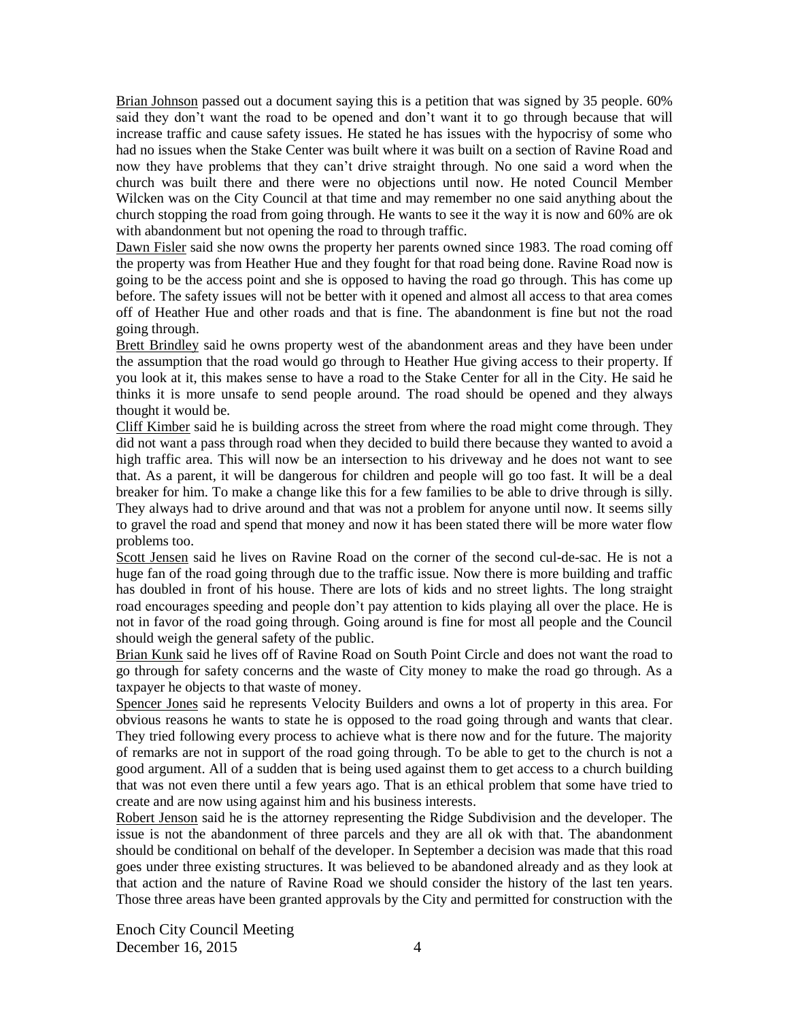Brian Johnson passed out a document saying this is a petition that was signed by 35 people. 60% said they don't want the road to be opened and don't want it to go through because that will increase traffic and cause safety issues. He stated he has issues with the hypocrisy of some who had no issues when the Stake Center was built where it was built on a section of Ravine Road and now they have problems that they can't drive straight through. No one said a word when the church was built there and there were no objections until now. He noted Council Member Wilcken was on the City Council at that time and may remember no one said anything about the church stopping the road from going through. He wants to see it the way it is now and 60% are ok with abandonment but not opening the road to through traffic.

Dawn Fisler said she now owns the property her parents owned since 1983. The road coming off the property was from Heather Hue and they fought for that road being done. Ravine Road now is going to be the access point and she is opposed to having the road go through. This has come up before. The safety issues will not be better with it opened and almost all access to that area comes off of Heather Hue and other roads and that is fine. The abandonment is fine but not the road going through.

Brett Brindley said he owns property west of the abandonment areas and they have been under the assumption that the road would go through to Heather Hue giving access to their property. If you look at it, this makes sense to have a road to the Stake Center for all in the City. He said he thinks it is more unsafe to send people around. The road should be opened and they always thought it would be.

Cliff Kimber said he is building across the street from where the road might come through. They did not want a pass through road when they decided to build there because they wanted to avoid a high traffic area. This will now be an intersection to his driveway and he does not want to see that. As a parent, it will be dangerous for children and people will go too fast. It will be a deal breaker for him. To make a change like this for a few families to be able to drive through is silly. They always had to drive around and that was not a problem for anyone until now. It seems silly to gravel the road and spend that money and now it has been stated there will be more water flow problems too.

Scott Jensen said he lives on Ravine Road on the corner of the second cul-de-sac. He is not a huge fan of the road going through due to the traffic issue. Now there is more building and traffic has doubled in front of his house. There are lots of kids and no street lights. The long straight road encourages speeding and people don't pay attention to kids playing all over the place. He is not in favor of the road going through. Going around is fine for most all people and the Council should weigh the general safety of the public.

Brian Kunk said he lives off of Ravine Road on South Point Circle and does not want the road to go through for safety concerns and the waste of City money to make the road go through. As a taxpayer he objects to that waste of money.

Spencer Jones said he represents Velocity Builders and owns a lot of property in this area. For obvious reasons he wants to state he is opposed to the road going through and wants that clear. They tried following every process to achieve what is there now and for the future. The majority of remarks are not in support of the road going through. To be able to get to the church is not a good argument. All of a sudden that is being used against them to get access to a church building that was not even there until a few years ago. That is an ethical problem that some have tried to create and are now using against him and his business interests.

Robert Jenson said he is the attorney representing the Ridge Subdivision and the developer. The issue is not the abandonment of three parcels and they are all ok with that. The abandonment should be conditional on behalf of the developer. In September a decision was made that this road goes under three existing structures. It was believed to be abandoned already and as they look at that action and the nature of Ravine Road we should consider the history of the last ten years. Those three areas have been granted approvals by the City and permitted for construction with the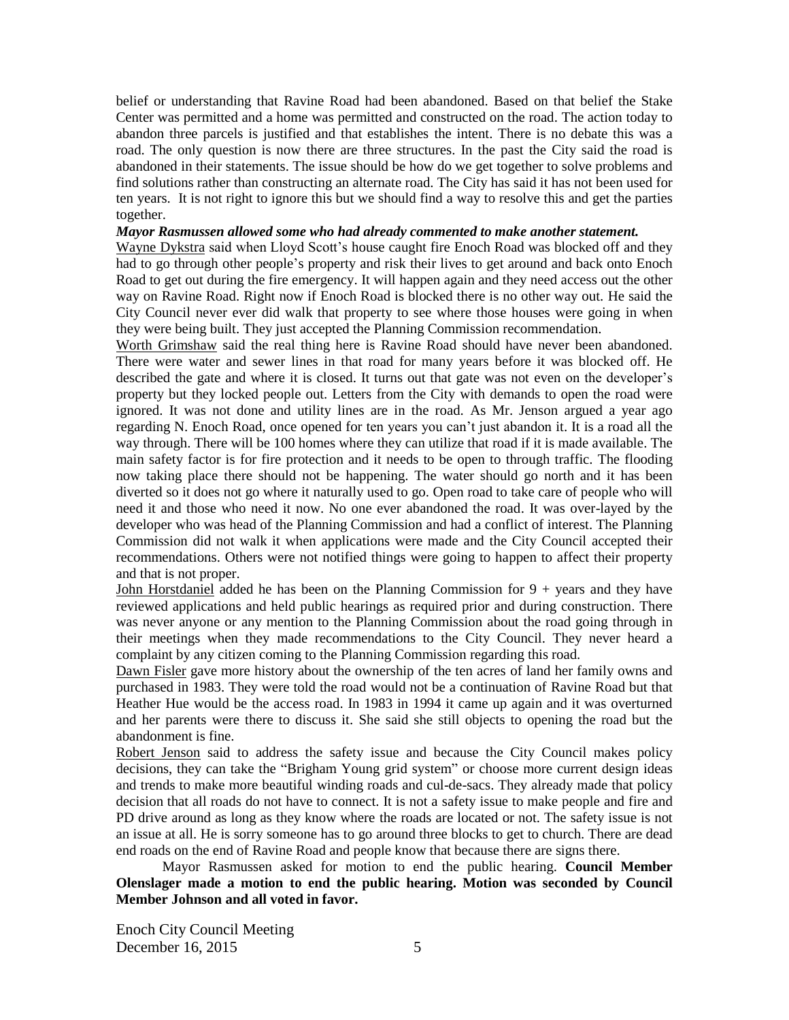belief or understanding that Ravine Road had been abandoned. Based on that belief the Stake Center was permitted and a home was permitted and constructed on the road. The action today to abandon three parcels is justified and that establishes the intent. There is no debate this was a road. The only question is now there are three structures. In the past the City said the road is abandoned in their statements. The issue should be how do we get together to solve problems and find solutions rather than constructing an alternate road. The City has said it has not been used for ten years. It is not right to ignore this but we should find a way to resolve this and get the parties together.

#### *Mayor Rasmussen allowed some who had already commented to make another statement.*

Wayne Dykstra said when Lloyd Scott's house caught fire Enoch Road was blocked off and they had to go through other people's property and risk their lives to get around and back onto Enoch Road to get out during the fire emergency. It will happen again and they need access out the other way on Ravine Road. Right now if Enoch Road is blocked there is no other way out. He said the City Council never ever did walk that property to see where those houses were going in when they were being built. They just accepted the Planning Commission recommendation.

Worth Grimshaw said the real thing here is Ravine Road should have never been abandoned. There were water and sewer lines in that road for many years before it was blocked off. He described the gate and where it is closed. It turns out that gate was not even on the developer's property but they locked people out. Letters from the City with demands to open the road were ignored. It was not done and utility lines are in the road. As Mr. Jenson argued a year ago regarding N. Enoch Road, once opened for ten years you can't just abandon it. It is a road all the way through. There will be 100 homes where they can utilize that road if it is made available. The main safety factor is for fire protection and it needs to be open to through traffic. The flooding now taking place there should not be happening. The water should go north and it has been diverted so it does not go where it naturally used to go. Open road to take care of people who will need it and those who need it now. No one ever abandoned the road. It was over-layed by the developer who was head of the Planning Commission and had a conflict of interest. The Planning Commission did not walk it when applications were made and the City Council accepted their recommendations. Others were not notified things were going to happen to affect their property and that is not proper.

John Horstdaniel added he has been on the Planning Commission for 9 + years and they have reviewed applications and held public hearings as required prior and during construction. There was never anyone or any mention to the Planning Commission about the road going through in their meetings when they made recommendations to the City Council. They never heard a complaint by any citizen coming to the Planning Commission regarding this road.

Dawn Fisler gave more history about the ownership of the ten acres of land her family owns and purchased in 1983. They were told the road would not be a continuation of Ravine Road but that Heather Hue would be the access road. In 1983 in 1994 it came up again and it was overturned and her parents were there to discuss it. She said she still objects to opening the road but the abandonment is fine.

Robert Jenson said to address the safety issue and because the City Council makes policy decisions, they can take the "Brigham Young grid system" or choose more current design ideas and trends to make more beautiful winding roads and cul-de-sacs. They already made that policy decision that all roads do not have to connect. It is not a safety issue to make people and fire and PD drive around as long as they know where the roads are located or not. The safety issue is not an issue at all. He is sorry someone has to go around three blocks to get to church. There are dead end roads on the end of Ravine Road and people know that because there are signs there.

Mayor Rasmussen asked for motion to end the public hearing. **Council Member Olenslager made a motion to end the public hearing. Motion was seconded by Council Member Johnson and all voted in favor.**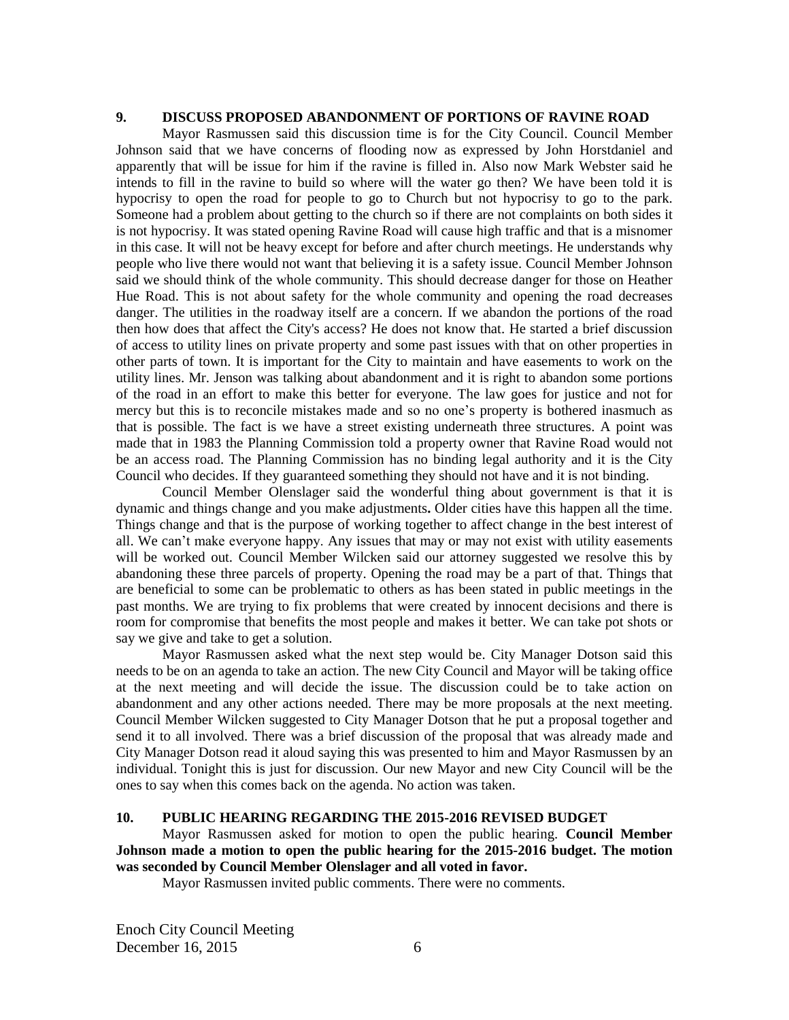#### **9. DISCUSS PROPOSED ABANDONMENT OF PORTIONS OF RAVINE ROAD**

Mayor Rasmussen said this discussion time is for the City Council. Council Member Johnson said that we have concerns of flooding now as expressed by John Horstdaniel and apparently that will be issue for him if the ravine is filled in. Also now Mark Webster said he intends to fill in the ravine to build so where will the water go then? We have been told it is hypocrisy to open the road for people to go to Church but not hypocrisy to go to the park. Someone had a problem about getting to the church so if there are not complaints on both sides it is not hypocrisy. It was stated opening Ravine Road will cause high traffic and that is a misnomer in this case. It will not be heavy except for before and after church meetings. He understands why people who live there would not want that believing it is a safety issue. Council Member Johnson said we should think of the whole community. This should decrease danger for those on Heather Hue Road. This is not about safety for the whole community and opening the road decreases danger. The utilities in the roadway itself are a concern. If we abandon the portions of the road then how does that affect the City's access? He does not know that. He started a brief discussion of access to utility lines on private property and some past issues with that on other properties in other parts of town. It is important for the City to maintain and have easements to work on the utility lines. Mr. Jenson was talking about abandonment and it is right to abandon some portions of the road in an effort to make this better for everyone. The law goes for justice and not for mercy but this is to reconcile mistakes made and so no one's property is bothered inasmuch as that is possible. The fact is we have a street existing underneath three structures. A point was made that in 1983 the Planning Commission told a property owner that Ravine Road would not be an access road. The Planning Commission has no binding legal authority and it is the City Council who decides. If they guaranteed something they should not have and it is not binding.

Council Member Olenslager said the wonderful thing about government is that it is dynamic and things change and you make adjustments**.** Older cities have this happen all the time. Things change and that is the purpose of working together to affect change in the best interest of all. We can't make everyone happy. Any issues that may or may not exist with utility easements will be worked out. Council Member Wilcken said our attorney suggested we resolve this by abandoning these three parcels of property. Opening the road may be a part of that. Things that are beneficial to some can be problematic to others as has been stated in public meetings in the past months. We are trying to fix problems that were created by innocent decisions and there is room for compromise that benefits the most people and makes it better. We can take pot shots or say we give and take to get a solution.

Mayor Rasmussen asked what the next step would be. City Manager Dotson said this needs to be on an agenda to take an action. The new City Council and Mayor will be taking office at the next meeting and will decide the issue. The discussion could be to take action on abandonment and any other actions needed. There may be more proposals at the next meeting. Council Member Wilcken suggested to City Manager Dotson that he put a proposal together and send it to all involved. There was a brief discussion of the proposal that was already made and City Manager Dotson read it aloud saying this was presented to him and Mayor Rasmussen by an individual. Tonight this is just for discussion. Our new Mayor and new City Council will be the ones to say when this comes back on the agenda. No action was taken.

## **10. PUBLIC HEARING REGARDING THE 2015-2016 REVISED BUDGET**

Mayor Rasmussen asked for motion to open the public hearing. **Council Member Johnson made a motion to open the public hearing for the 2015-2016 budget. The motion was seconded by Council Member Olenslager and all voted in favor.**

Mayor Rasmussen invited public comments. There were no comments.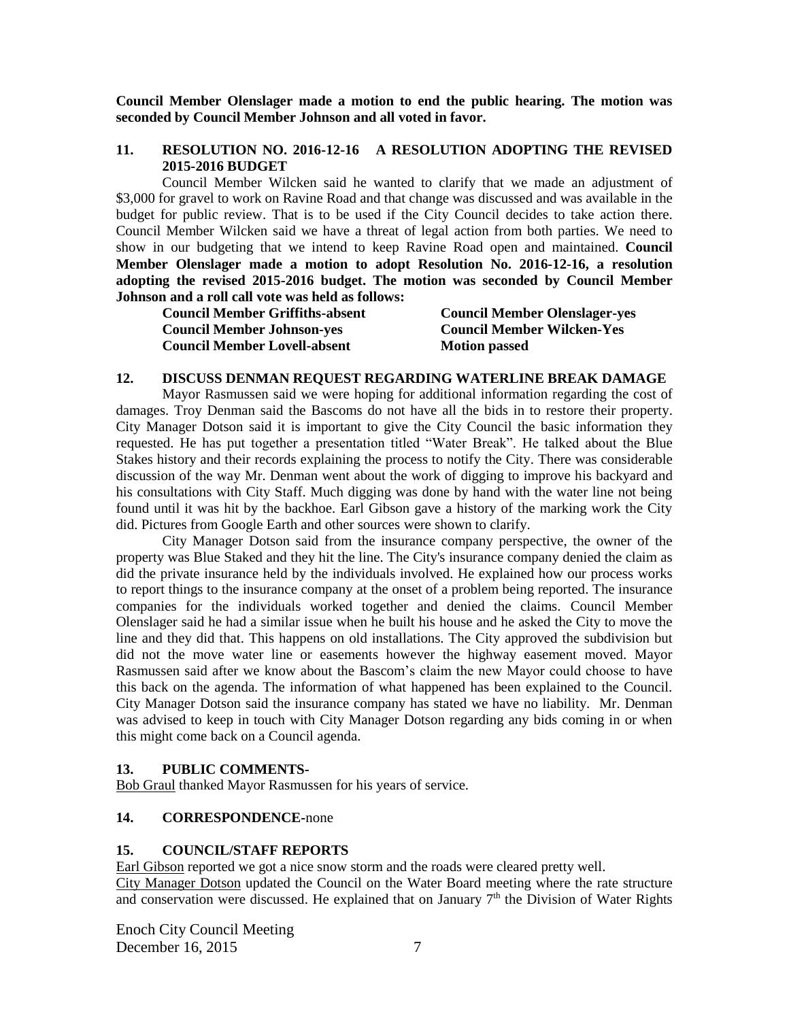**Council Member Olenslager made a motion to end the public hearing. The motion was seconded by Council Member Johnson and all voted in favor.**

#### **11. RESOLUTION NO. 2016-12-16 A RESOLUTION ADOPTING THE REVISED 2015-2016 BUDGET**

Council Member Wilcken said he wanted to clarify that we made an adjustment of \$3,000 for gravel to work on Ravine Road and that change was discussed and was available in the budget for public review. That is to be used if the City Council decides to take action there. Council Member Wilcken said we have a threat of legal action from both parties. We need to show in our budgeting that we intend to keep Ravine Road open and maintained. **Council Member Olenslager made a motion to adopt Resolution No. 2016-12-16, a resolution adopting the revised 2015-2016 budget. The motion was seconded by Council Member Johnson and a roll call vote was held as follows:**

**Council Member Griffiths-absent Council Member Olenslager-yes Council Member Johnson-yes Council Member Wilcken-Yes Council Member Lovell-absent Motion passed Motion passed** 

#### **12. DISCUSS DENMAN REQUEST REGARDING WATERLINE BREAK DAMAGE**

Mayor Rasmussen said we were hoping for additional information regarding the cost of damages. Troy Denman said the Bascoms do not have all the bids in to restore their property. City Manager Dotson said it is important to give the City Council the basic information they requested. He has put together a presentation titled "Water Break". He talked about the Blue Stakes history and their records explaining the process to notify the City. There was considerable discussion of the way Mr. Denman went about the work of digging to improve his backyard and his consultations with City Staff. Much digging was done by hand with the water line not being found until it was hit by the backhoe. Earl Gibson gave a history of the marking work the City did. Pictures from Google Earth and other sources were shown to clarify.

City Manager Dotson said from the insurance company perspective, the owner of the property was Blue Staked and they hit the line. The City's insurance company denied the claim as did the private insurance held by the individuals involved. He explained how our process works to report things to the insurance company at the onset of a problem being reported. The insurance companies for the individuals worked together and denied the claims. Council Member Olenslager said he had a similar issue when he built his house and he asked the City to move the line and they did that. This happens on old installations. The City approved the subdivision but did not the move water line or easements however the highway easement moved. Mayor Rasmussen said after we know about the Bascom's claim the new Mayor could choose to have this back on the agenda. The information of what happened has been explained to the Council. City Manager Dotson said the insurance company has stated we have no liability. Mr. Denman was advised to keep in touch with City Manager Dotson regarding any bids coming in or when this might come back on a Council agenda.

#### **13. PUBLIC COMMENTS-**

Bob Graul thanked Mayor Rasmussen for his years of service.

## **14. CORRESPONDENCE-**none

#### **15. COUNCIL/STAFF REPORTS**

Earl Gibson reported we got a nice snow storm and the roads were cleared pretty well. City Manager Dotson updated the Council on the Water Board meeting where the rate structure and conservation were discussed. He explained that on January  $7<sup>th</sup>$  the Division of Water Rights